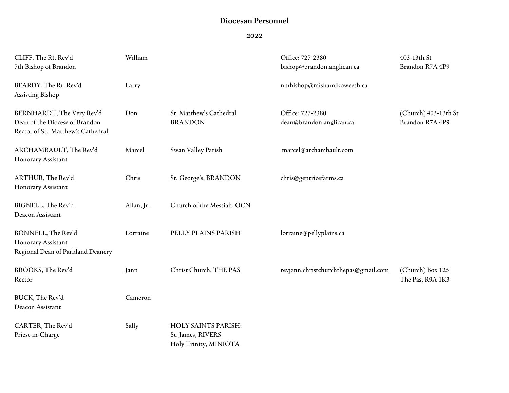#### **2022**

| CLIFF, The Rt. Rev'd<br>7th Bishop of Brandon                                                    | William    |                                                                   | Office: 727-2380<br>bishop@brandon.anglican.ca | 403-13th St<br>Brandon R7A 4P9          |
|--------------------------------------------------------------------------------------------------|------------|-------------------------------------------------------------------|------------------------------------------------|-----------------------------------------|
| BEARDY, The Rt. Rev'd<br><b>Assisting Bishop</b>                                                 | Larry      |                                                                   | nmbishop@mishamikoweesh.ca                     |                                         |
| BERNHARDT, The Very Rev'd<br>Dean of the Diocese of Brandon<br>Rector of St. Matthew's Cathedral | Don        | St. Matthew's Cathedral<br><b>BRANDON</b>                         | Office: 727-2380<br>dean@brandon.anglican.ca   | (Church) 403-13th St<br>Brandon R7A 4P9 |
| ARCHAMBAULT, The Rev'd<br>Honorary Assistant                                                     | Marcel     | Swan Valley Parish                                                | marcel@archambault.com                         |                                         |
| ARTHUR, The Rev'd<br>Honorary Assistant                                                          | Chris      | St. George's, BRANDON                                             | chris@gentricefarms.ca                         |                                         |
| BIGNELL, The Rev'd<br>Deacon Assistant                                                           | Allan, Jr. | Church of the Messiah, OCN                                        |                                                |                                         |
| BONNELL, The Rev'd<br>Honorary Assistant<br>Regional Dean of Parkland Deanery                    | Lorraine   | PELLY PLAINS PARISH                                               | lorraine@pellyplains.ca                        |                                         |
| BROOKS, The Rev'd<br>Rector                                                                      | Jann       | Christ Church, THE PAS                                            | revjann.christchurchthepas@gmail.com           | (Church) Box 125<br>The Pas, R9A 1K3    |
| BUCK, The Rev'd<br>Deacon Assistant                                                              | Cameron    |                                                                   |                                                |                                         |
| CARTER, The Rev'd<br>Priest-in-Charge                                                            | Sally      | HOLY SAINTS PARISH:<br>St. James, RIVERS<br>Holy Trinity, MINIOTA |                                                |                                         |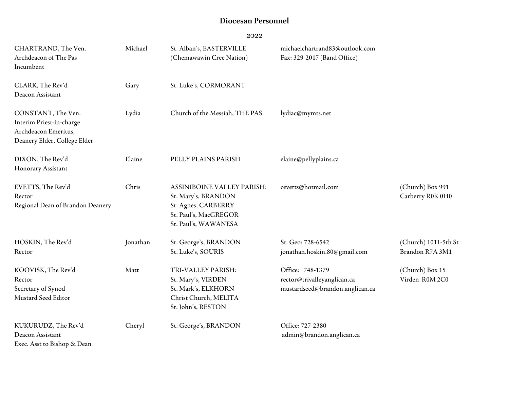#### **2022**

| CHARTRAND, The Ven.<br>Archdeacon of The Pas<br>Incumbent                                              | Michael  | St. Alban's, EASTERVILLE<br>(Chemawawin Cree Nation)                                                                      | michaelchartrand83@outlook.com<br>Fax: 329-2017 (Band Office)                      |                                         |
|--------------------------------------------------------------------------------------------------------|----------|---------------------------------------------------------------------------------------------------------------------------|------------------------------------------------------------------------------------|-----------------------------------------|
| CLARK, The Rev'd<br>Deacon Assistant                                                                   | Gary     | St. Luke's, CORMORANT                                                                                                     |                                                                                    |                                         |
| CONSTANT, The Ven.<br>Interim Priest-in-charge<br>Archdeacon Emeritus,<br>Deanery Elder, College Elder | Lydia    | Church of the Messiah, THE PAS                                                                                            | lydiac@mymts.net                                                                   |                                         |
| DIXON, The Rev'd<br>Honorary Assistant                                                                 | Elaine   | PELLY PLAINS PARISH                                                                                                       | elaine@pellyplains.ca                                                              |                                         |
| EVETTS, The Rev'd<br>Rector<br>Regional Dean of Brandon Deanery                                        | Chris    | ASSINIBOINE VALLEY PARISH:<br>St. Mary's, BRANDON<br>St. Agnes, CARBERRY<br>St. Paul's, MacGREGOR<br>St. Paul's, WAWANESA | cevetts@hotmail.com                                                                | (Church) Box 991<br>Carberry R0K 0H0    |
| HOSKIN, The Rev'd<br>Rector                                                                            | Jonathan | St. George's, BRANDON<br>St. Luke's, SOURIS                                                                               | St. Geo: 728-6542<br>jonathan.hoskin.80@gmail.com                                  | (Church) 1011-5th St<br>Brandon R7A 3M1 |
| KOOVISK, The Rev'd<br>Rector<br>Secretary of Synod<br>Mustard Seed Editor                              | Matt     | TRI-VALLEY PARISH:<br>St. Mary's, VIRDEN<br>St. Mark's, ELKHORN<br>Christ Church, MELITA<br>St. John's, RESTON            | Office: 748-1379<br>rector@trivalleyanglican.ca<br>mustardseed@brandon.anglican.ca | (Church) Box 15<br>Virden R0M 2C0       |
| KUKURUDZ, The Rev'd<br>Deacon Assistant<br>Exec. Asst to Bishop & Dean                                 | Cheryl   | St. George's, BRANDON                                                                                                     | Office: 727-2380<br>admin@brandon.anglican.ca                                      |                                         |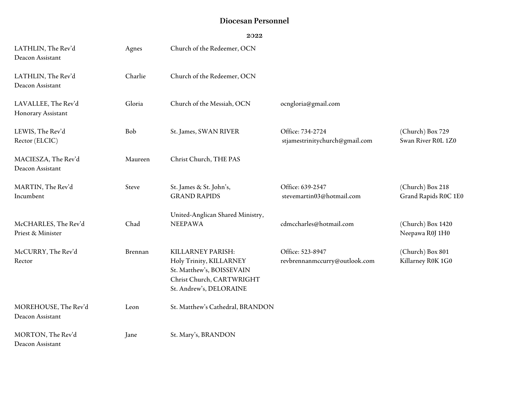|                                           |         | 2022                                                                                                                              |                                                    |                                          |
|-------------------------------------------|---------|-----------------------------------------------------------------------------------------------------------------------------------|----------------------------------------------------|------------------------------------------|
| LATHLIN, The Rev'd<br>Deacon Assistant    | Agnes   | Church of the Redeemer, OCN                                                                                                       |                                                    |                                          |
| LATHLIN, The Rev'd<br>Deacon Assistant    | Charlie | Church of the Redeemer, OCN                                                                                                       |                                                    |                                          |
| LAVALLEE, The Rev'd<br>Honorary Assistant | Gloria  | Church of the Messiah, OCN                                                                                                        | ocngloria@gmail.com                                |                                          |
| LEWIS, The Rev'd<br>Rector (ELCIC)        | Bob     | St. James, SWAN RIVER                                                                                                             | Office: 734-2724<br>stjamestrinitychurch@gmail.com | (Church) Box 729<br>Swan River R0L 1Z0   |
| MACIESZA, The Rev'd<br>Deacon Assistant   | Maureen | Christ Church, THE PAS                                                                                                            |                                                    |                                          |
| MARTIN, The Rev'd<br>Incumbent            | Steve   | St. James & St. John's,<br><b>GRAND RAPIDS</b>                                                                                    | Office: 639-2547<br>stevemartin03@hotmail.com      | (Church) Box 218<br>Grand Rapids R0C 1E0 |
| McCHARLES, The Rev'd<br>Priest & Minister | Chad    | United-Anglican Shared Ministry,<br><b>NEEPAWA</b>                                                                                | cdmccharles@hotmail.com                            | (Church) Box 1420<br>Neepawa R0J 1H0     |
| McCURRY, The Rev'd<br>Rector              | Brennan | KILLARNEY PARISH:<br>Holy Trinity, KILLARNEY<br>St. Matthew's, BOISSEVAIN<br>Christ Church, CARTWRIGHT<br>St. Andrew's, DELORAINE | Office: 523-8947<br>revbrennanmccurry@outlook.com  | (Church) Box 801<br>Killarney R0K 1G0    |
| MOREHOUSE, The Rev'd<br>Deacon Assistant  | Leon    | St. Matthew's Cathedral, BRANDON                                                                                                  |                                                    |                                          |
| MORTON, The Rev'd<br>Deacon Assistant     | Jane    | St. Mary's, BRANDON                                                                                                               |                                                    |                                          |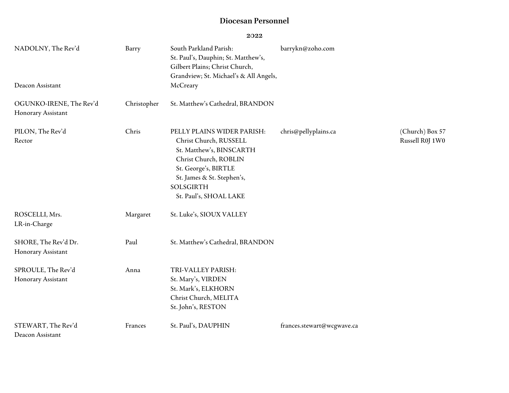**2022**

| NADOLNY, The Rev'd                            | Barry       | South Parkland Parish:<br>St. Paul's, Dauphin; St. Matthew's,<br>Gilbert Plains; Christ Church,<br>Grandview; St. Michael's & All Angels,                                                                     | barrykn@zoho.com           |                                    |
|-----------------------------------------------|-------------|---------------------------------------------------------------------------------------------------------------------------------------------------------------------------------------------------------------|----------------------------|------------------------------------|
| Deacon Assistant                              |             | McCreary                                                                                                                                                                                                      |                            |                                    |
| OGUNKO-IRENE, The Rev'd<br>Honorary Assistant | Christopher | St. Matthew's Cathedral, BRANDON                                                                                                                                                                              |                            |                                    |
| PILON, The Rev'd<br>Rector                    | Chris       | PELLY PLAINS WIDER PARISH:<br>Christ Church, RUSSELL<br>St. Matthew's, BINSCARTH<br>Christ Church, ROBLIN<br>St. George's, BIRTLE<br>St. James & St. Stephen's,<br><b>SOLSGIRTH</b><br>St. Paul's, SHOAL LAKE | chris@pellyplains.ca       | (Church) Box 57<br>Russell R0J 1W0 |
| ROSCELLI, Mrs.<br>LR-in-Charge                | Margaret    | St. Luke's, SIOUX VALLEY                                                                                                                                                                                      |                            |                                    |
| SHORE, The Rev'd Dr.<br>Honorary Assistant    | Paul        | St. Matthew's Cathedral, BRANDON                                                                                                                                                                              |                            |                                    |
| SPROULE, The Rev'd<br>Honorary Assistant      | Anna        | TRI-VALLEY PARISH:<br>St. Mary's, VIRDEN<br>St. Mark's, ELKHORN<br>Christ Church, MELITA<br>St. John's, RESTON                                                                                                |                            |                                    |
| STEWART, The Rev'd<br>Deacon Assistant        | Frances     | St. Paul's, DAUPHIN                                                                                                                                                                                           | frances.stewart@wcgwave.ca |                                    |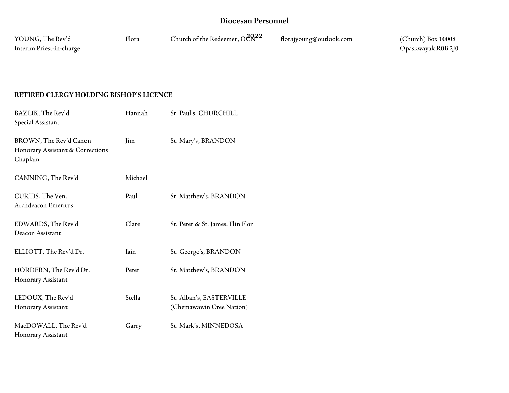**2023** YOUNG, The Rev'd Flora Flora Church of the Redeemer,  $O\frac{2R^{22}}{2}$  florajyoung@outlook.com (Church) Box 10008

Interim Priest-in-charge Opaskwayak R0B 2J0

### **RETIRED CLERGY HOLDING BISHOP'S LICENCE**

| BAZLIK, The Rev'd<br>Special Assistant                                 | Hannah      | St. Paul's, CHURCHILL                                |
|------------------------------------------------------------------------|-------------|------------------------------------------------------|
| BROWN, The Rev'd Canon<br>Honorary Assistant & Corrections<br>Chaplain | <b>Jim</b>  | St. Mary's, BRANDON                                  |
| CANNING, The Rev'd                                                     | Michael     |                                                      |
| CURTIS, The Ven.<br>Archdeacon Emeritus                                | Paul        | St. Matthew's, BRANDON                               |
| EDWARDS, The Rev'd<br>Deacon Assistant                                 | Clare       | St. Peter & St. James, Flin Flon                     |
| ELLIOTT, The Rev'd Dr.                                                 | <b>Iain</b> | St. George's, BRANDON                                |
| HORDERN, The Rev'd Dr.<br>Honorary Assistant                           | Peter       | St. Matthew's, BRANDON                               |
| LEDOUX, The Rev'd<br>Honorary Assistant                                | Stella      | St. Alban's, EASTERVILLE<br>(Chemawawin Cree Nation) |
| MacDOWALL, The Rev'd<br>Honorary Assistant                             | Garry       | St. Mark's, MINNEDOSA                                |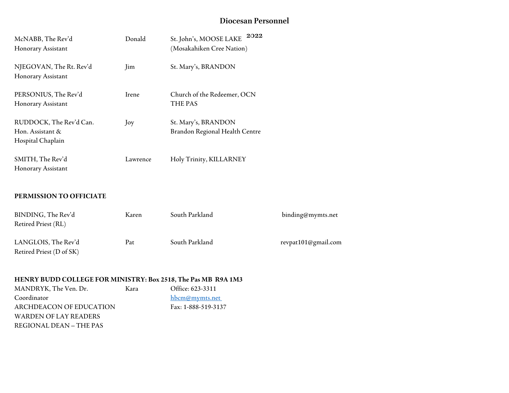| McNABB, The Rev'd<br>Honorary Assistant                          | Donald   | 2022<br>St. John's, MOOSE LAKE<br>(Mosakahiken Cree Nation) |
|------------------------------------------------------------------|----------|-------------------------------------------------------------|
| NJEGOVAN, The Rt. Rev'd<br>Honorary Assistant                    | Jim      | St. Mary's, BRANDON                                         |
| PERSONIUS, The Rev'd<br>Honorary Assistant                       | Irene    | Church of the Redeemer, OCN<br>THE PAS                      |
| RUDDOCK, The Rev'd Can.<br>Hon. Assistant &<br>Hospital Chaplain | Joy      | St. Mary's, BRANDON<br>Brandon Regional Health Centre       |
| SMITH, The Rev'd<br>Honorary Assistant                           | Lawrence | Holy Trinity, KILLARNEY                                     |

### **PERMISSION TO OFFICIATE**

| BINDING, The Rev'd       | Karen | South Parkland | binding@mymts.net   |
|--------------------------|-------|----------------|---------------------|
| Retired Priest (RL)      |       |                |                     |
|                          |       |                |                     |
| LANGLOIS, The Rev'd      | Pat   | South Parkland | revpat101@gmail.com |
| Retired Priest (D of SK) |       |                |                     |

### **HENRY BUDD COLLEGE FOR MINISTRY: Box 2518, The Pas MB R9A 1M3**

| MANDRYK, The Ven. Dr.   | Kara | Office: 623-3311    |
|-------------------------|------|---------------------|
| Coordinator             |      | hbcm@mymts.net      |
| ARCHDEACON OF EDUCATION |      | Fax: 1-888-519-3137 |
| WARDEN OF LAY READERS   |      |                     |
| REGIONAL DEAN – THE PAS |      |                     |